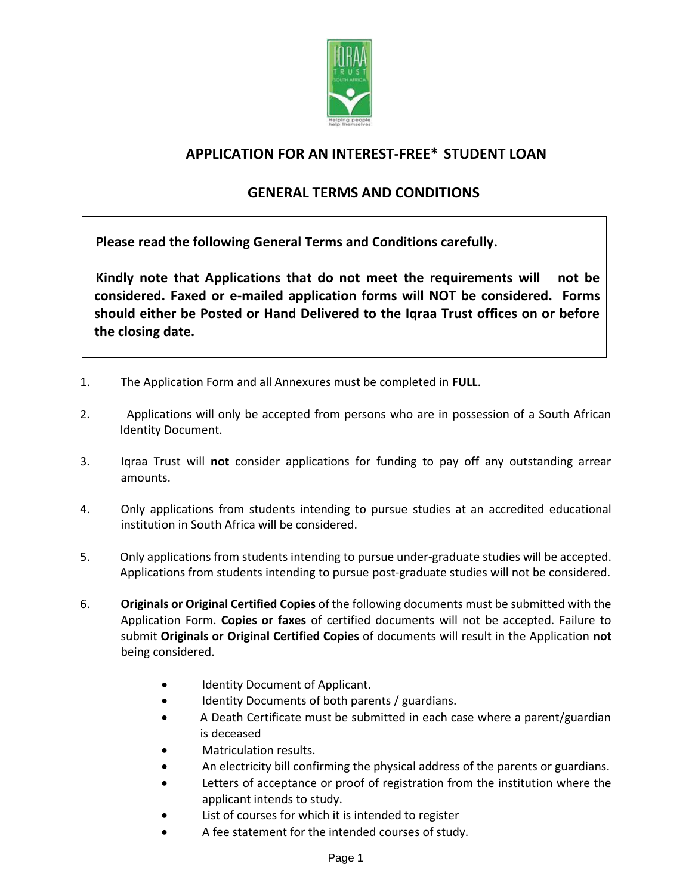

# **APPLICATION FOR AN INTEREST-FREE\* STUDENT LOAN**

# **GENERAL TERMS AND CONDITIONS**

**Please read the following General Terms and Conditions carefully.** 

**Kindly note that Applications that do not meet the requirements will not be considered. Faxed or e-mailed application forms will NOT be considered. Forms should either be Posted or Hand Delivered to the Iqraa Trust offices on or before the closing date.**

- 1. The Application Form and all Annexures must be completed in **FULL**.
- 2. Applications will only be accepted from persons who are in possession of a South African Identity Document.
- 3. Iqraa Trust will **not** consider applications for funding to pay off any outstanding arrear amounts.
- 4. Only applications from students intending to pursue studies at an accredited educational institution in South Africa will be considered.
- 5. Only applications from students intending to pursue under-graduate studies will be accepted. Applications from students intending to pursue post-graduate studies will not be considered.
- 6. **Originals or Original Certified Copies** of the following documents must be submitted with the Application Form. **Copies or faxes** of certified documents will not be accepted. Failure to submit **Originals or Original Certified Copies** of documents will result in the Application **not** being considered.
	- Identity Document of Applicant.
	- Identity Documents of both parents / guardians.
	- A Death Certificate must be submitted in each case where a parent/guardian is deceased
	- Matriculation results.
	- An electricity bill confirming the physical address of the parents or guardians.
	- Letters of acceptance or proof of registration from the institution where the applicant intends to study.
	- List of courses for which it is intended to register
	- A fee statement for the intended courses of study.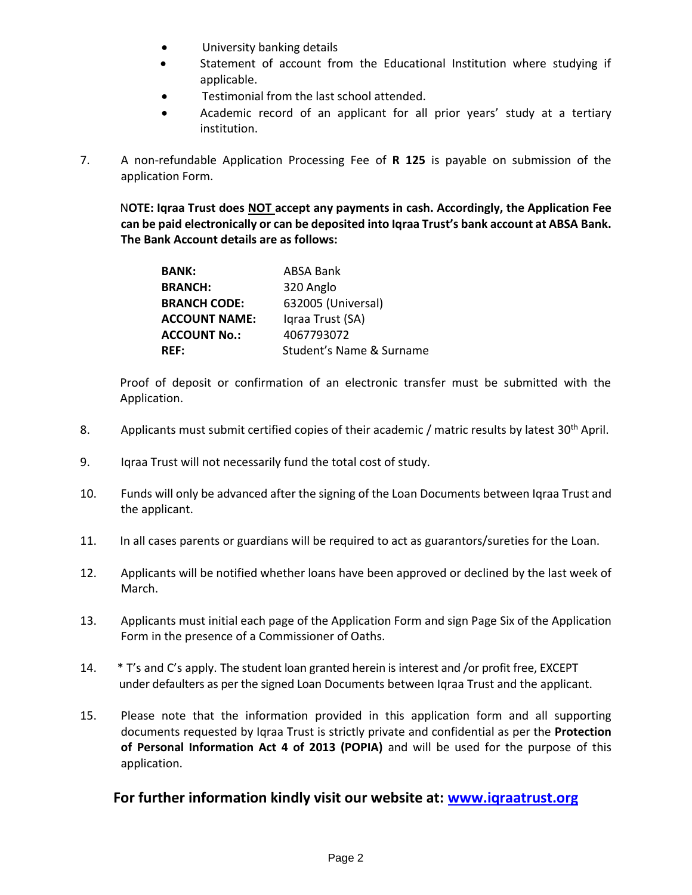- University banking details
- Statement of account from the Educational Institution where studying if applicable.
- Testimonial from the last school attended.
- Academic record of an applicant for all prior years' study at a tertiary institution.
- 7. A non-refundable Application Processing Fee of **R 125** is payable on submission of the application Form.

N**OTE: Iqraa Trust does NOT accept any payments in cash. Accordingly, the Application Fee can be paid electronically or can be deposited into Iqraa Trust's bank account at ABSA Bank. The Bank Account details are as follows:**

| <b>BANK:</b>         | <b>ABSA Bank</b>         |
|----------------------|--------------------------|
| <b>BRANCH:</b>       | 320 Anglo                |
| <b>BRANCH CODE:</b>  | 632005 (Universal)       |
| <b>ACCOUNT NAME:</b> | Igraa Trust (SA)         |
| <b>ACCOUNT No.:</b>  | 4067793072               |
| <b>REF:</b>          | Student's Name & Surname |

Proof of deposit or confirmation of an electronic transfer must be submitted with the Application.

- 8. Applicants must submit certified copies of their academic / matric results by latest  $30<sup>th</sup>$  April.
- 9. Iqraa Trust will not necessarily fund the total cost of study.
- 10. Funds will only be advanced after the signing of the Loan Documents between Iqraa Trust and the applicant.
- 11. In all cases parents or guardians will be required to act as guarantors/sureties for the Loan.
- 12. Applicants will be notified whether loans have been approved or declined by the last week of March.
- 13. Applicants must initial each page of the Application Form and sign Page Six of the Application Form in the presence of a Commissioner of Oaths.
- 14. \* T's and C's apply. The student loan granted herein is interest and /or profit free, EXCEPT under defaulters as per the signed Loan Documents between Iqraa Trust and the applicant.
- 15. Please note that the information provided in this application form and all supporting documents requested by Iqraa Trust is strictly private and confidential as per the **Protection of Personal Information Act 4 of 2013 (POPIA)** and will be used for the purpose of this application.

## **For further information kindly visit our website at: [www.iqraatrust.org](http://www.iqraatrust.org/)**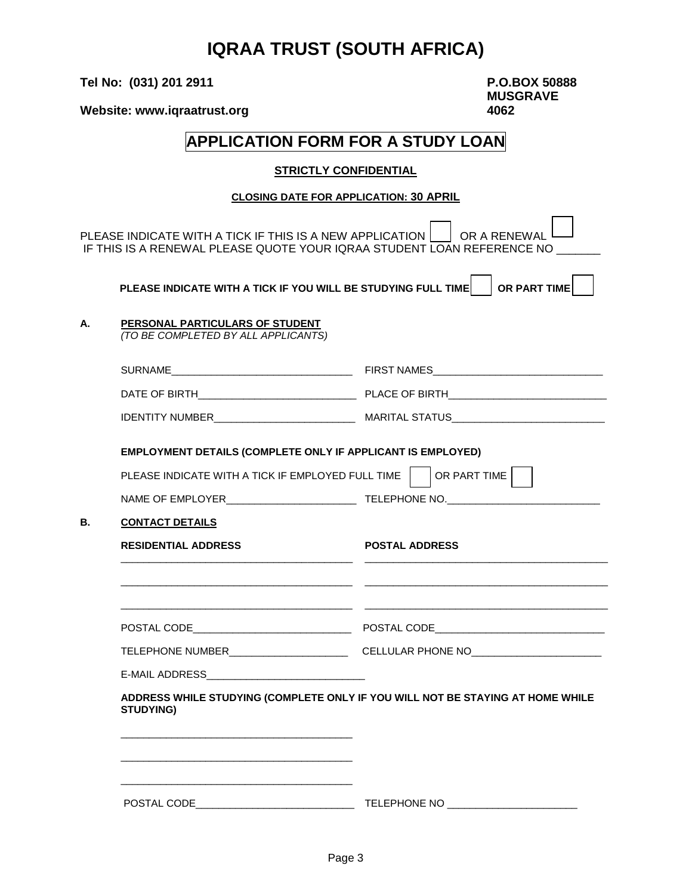# **IQRAA TRUST (SOUTH AFRICA)**

**Tel No: (031) 201 2911 P.O.BOX 50888**

**MUSGRAVE**

Website: www.iqraatrust.org **1062** 

# **APPLICATION FORM FOR A STUDY LOAN**

#### **STRICTLY CONFIDENTIAL**

#### **CLOSING DATE FOR APPLICATION: 30 APRIL**

PLEASE INDICATE WITH A TICK IF THIS IS A NEW APPLICATION  $\vert$  or a renewal IF THIS IS A RENEWAL PLEASE QUOTE YOUR IQRAA STUDENT LOAN REFERENCE NO

 **PLEASE INDICATE WITH A TICK IF YOU WILL BE STUDYING FULL TIME**  $\vert$  **or part time** 

# **A. PERSONAL PARTICULARS OF STUDENT**

*(TO BE COMPLETED BY ALL APPLICANTS)*

|                                                                                                                                                                                                                                                         | EMPLOYMENT DETAILS (COMPLETE ONLY IF APPLICANT IS EMPLOYED)                                          |
|---------------------------------------------------------------------------------------------------------------------------------------------------------------------------------------------------------------------------------------------------------|------------------------------------------------------------------------------------------------------|
|                                                                                                                                                                                                                                                         | PLEASE INDICATE WITH A TICK IF EMPLOYED FULL TIME   OR PART TIME                                     |
|                                                                                                                                                                                                                                                         | NAME OF EMPLOYER________________________________TELEPHONE NO.____________________                    |
| <b>CONTACT DETAILS</b>                                                                                                                                                                                                                                  |                                                                                                      |
| <b>RESIDENTIAL ADDRESS</b>                                                                                                                                                                                                                              | <b>POSTAL ADDRESS</b>                                                                                |
|                                                                                                                                                                                                                                                         |                                                                                                      |
|                                                                                                                                                                                                                                                         |                                                                                                      |
|                                                                                                                                                                                                                                                         |                                                                                                      |
|                                                                                                                                                                                                                                                         | TELEPHONE NUMBER__________________________________CELLULAR PHONE NO_________________________________ |
| E-MAIL ADDRESS________________________________                                                                                                                                                                                                          |                                                                                                      |
| <b>STUDYING)</b>                                                                                                                                                                                                                                        | ADDRESS WHILE STUDYING (COMPLETE ONLY IF YOU WILL NOT BE STAYING AT HOME WHILE                       |
| <u> 1989 - Johann John Stone, mars eta biztanleria (h. 1989).</u>                                                                                                                                                                                       |                                                                                                      |
| <u> 1989 - Johann John Stein, mars et al. 1989 - John Stein, mars et al. 1989 - John Stein, mars et al. 1989 - John Stein</u><br><u> 1989 - Johann John Stone, markin film yn y systematist yn y systematist yn y systematist yn y systematist yn y</u> |                                                                                                      |
| POSTAL CODE                                                                                                                                                                                                                                             | <b>TELEPHONE NO</b>                                                                                  |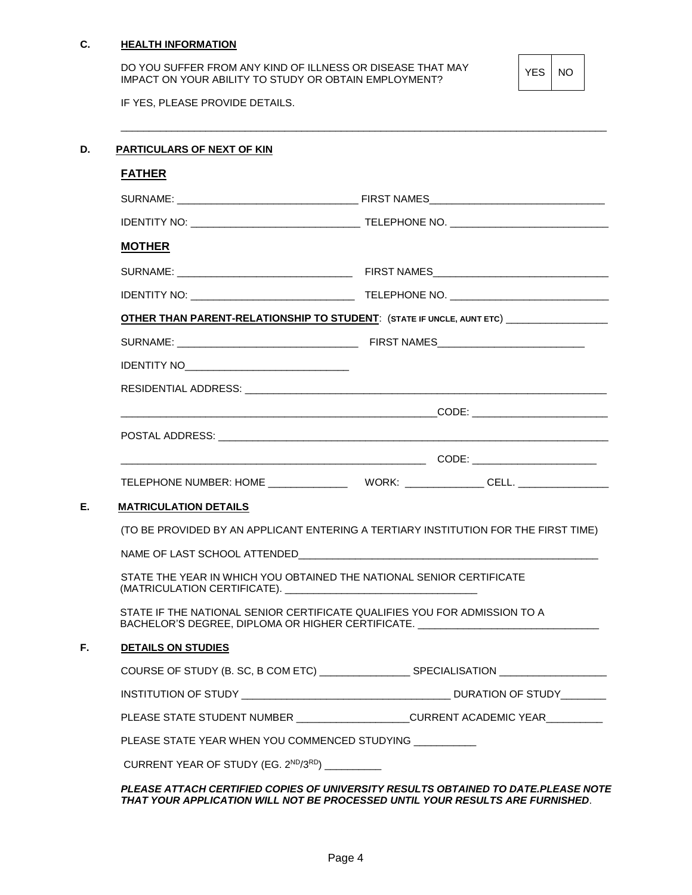#### **C. HEALTH INFORMATION**

DO YOU SUFFER FROM ANY KIND OF ILLNESS OR DISEASE THAT MAY IMPACT ON YOUR ABILITY TO STUDY OR OBTAIN EMPLOYMENT?

YES | NO

IF YES, PLEASE PROVIDE DETAILS.

## **D. PARTICULARS OF NEXT OF KIN**

| <b>FATHER</b>                                 |                                                                                                                                                               |
|-----------------------------------------------|---------------------------------------------------------------------------------------------------------------------------------------------------------------|
|                                               |                                                                                                                                                               |
|                                               |                                                                                                                                                               |
| <b>MOTHER</b>                                 |                                                                                                                                                               |
|                                               |                                                                                                                                                               |
|                                               |                                                                                                                                                               |
|                                               | <b>OTHER THAN PARENT-RELATIONSHIP TO STUDENT:</b> (STATE IF UNCLE, AUNT ETC) ________________                                                                 |
|                                               |                                                                                                                                                               |
|                                               |                                                                                                                                                               |
|                                               | RESIDENTIAL ADDRESS: North and the contract of the contract of the contract of the contract of the contract of                                                |
|                                               |                                                                                                                                                               |
|                                               |                                                                                                                                                               |
|                                               |                                                                                                                                                               |
|                                               |                                                                                                                                                               |
| <b>MATRICULATION DETAILS</b>                  |                                                                                                                                                               |
|                                               | (TO BE PROVIDED BY AN APPLICANT ENTERING A TERTIARY INSTITUTION FOR THE FIRST TIME)                                                                           |
|                                               |                                                                                                                                                               |
|                                               | STATE THE YEAR IN WHICH YOU OBTAINED THE NATIONAL SENIOR CERTIFICATE                                                                                          |
|                                               | STATE IF THE NATIONAL SENIOR CERTIFICATE QUALIFIES YOU FOR ADMISSION TO A<br>BACHELOR'S DEGREE, DIPLOMA OR HIGHER CERTIFICATE. ______________________________ |
| <b>DETAILS ON STUDIES</b>                     |                                                                                                                                                               |
|                                               |                                                                                                                                                               |
|                                               |                                                                                                                                                               |
|                                               |                                                                                                                                                               |
|                                               |                                                                                                                                                               |
| PLEASE STATE YEAR WHEN YOU COMMENCED STUDYING | PLEASE STATE STUDENT NUMBER ____________________CURRENT ACADEMIC YEAR__________                                                                               |

\_\_\_\_\_\_\_\_\_\_\_\_\_\_\_\_\_\_\_\_\_\_\_\_\_\_\_\_\_\_\_\_\_\_\_\_\_\_\_\_\_\_\_\_\_\_\_\_\_\_\_\_\_\_\_\_\_\_\_\_\_\_\_\_\_\_\_\_\_\_\_\_\_\_\_\_\_\_\_\_\_\_\_\_\_\_

#### *PLEASE ATTACH CERTIFIED COPIES OF UNIVERSITY RESULTS OBTAINED TO DATE.PLEASE NOTE THAT YOUR APPLICATION WILL NOT BE PROCESSED UNTIL YOUR RESULTS ARE FURNISHED*.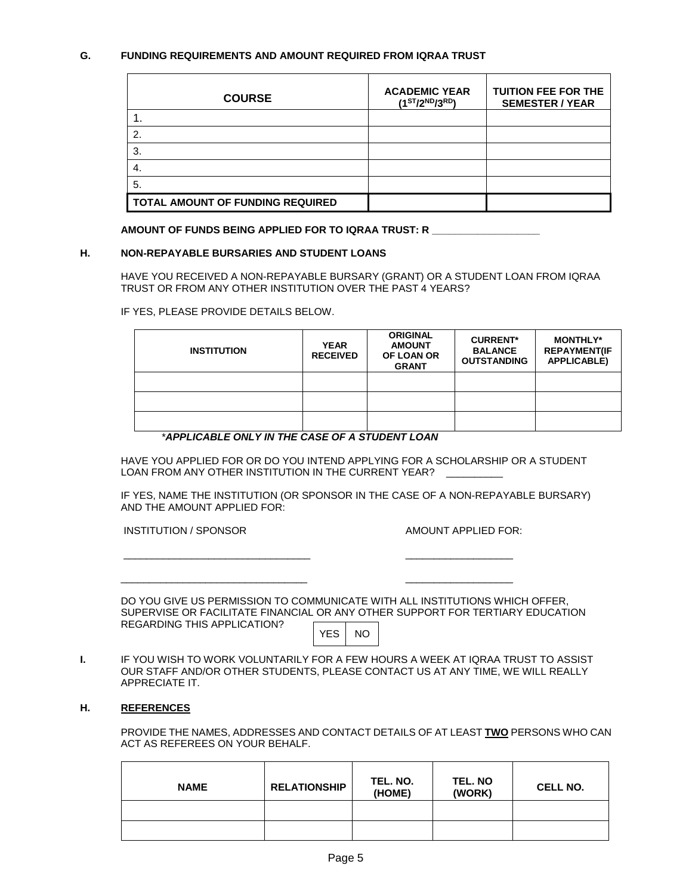### **G. FUNDING REQUIREMENTS AND AMOUNT REQUIRED FROM IQRAA TRUST**

| <b>COURSE</b>                    | <b>ACADEMIC YEAR</b><br>$(1^{ST}/2^{ND}/3^{RD})$ | <b>TUITION FEE FOR THE</b><br><b>SEMESTER / YEAR</b> |
|----------------------------------|--------------------------------------------------|------------------------------------------------------|
|                                  |                                                  |                                                      |
| $\mathbf{2}$                     |                                                  |                                                      |
| 3.                               |                                                  |                                                      |
| -4.                              |                                                  |                                                      |
| 5.                               |                                                  |                                                      |
| TOTAL AMOUNT OF FUNDING REQUIRED |                                                  |                                                      |

**AMOUNT OF FUNDS BEING APPLIED FOR TO IQRAA TRUST: R \_\_\_\_\_\_\_\_\_\_\_\_\_\_\_\_\_\_\_**

#### **H. NON-REPAYABLE BURSARIES AND STUDENT LOANS**

HAVE YOU RECEIVED A NON-REPAYABLE BURSARY (GRANT) OR A STUDENT LOAN FROM IQRAA TRUST OR FROM ANY OTHER INSTITUTION OVER THE PAST 4 YEARS?

IF YES, PLEASE PROVIDE DETAILS BELOW.

| <b>INSTITUTION</b> | <b>YEAR</b><br><b>RECEIVED</b> | <b>ORIGINAL</b><br><b>AMOUNT</b><br>OF LOAN OR<br><b>GRANT</b> | <b>CURRENT*</b><br><b>BALANCE</b><br><b>OUTSTANDING</b> | <b>MONTHLY*</b><br><b>REPAYMENT(IF</b><br><b>APPLICABLE)</b> |
|--------------------|--------------------------------|----------------------------------------------------------------|---------------------------------------------------------|--------------------------------------------------------------|
|                    |                                |                                                                |                                                         |                                                              |
|                    |                                |                                                                |                                                         |                                                              |
|                    |                                |                                                                |                                                         |                                                              |

#### *\*APPLICABLE ONLY IN THE CASE OF A STUDENT LOAN*

\_\_\_\_\_\_\_\_\_\_\_\_\_\_\_\_\_\_\_\_\_\_\_\_\_\_\_\_\_\_\_\_\_ \_\_\_\_\_\_\_\_\_\_\_\_\_\_\_\_\_\_\_

 $\frac{1}{2}$  ,  $\frac{1}{2}$  ,  $\frac{1}{2}$  ,  $\frac{1}{2}$  ,  $\frac{1}{2}$  ,  $\frac{1}{2}$  ,  $\frac{1}{2}$  ,  $\frac{1}{2}$  ,  $\frac{1}{2}$  ,  $\frac{1}{2}$  ,  $\frac{1}{2}$  ,  $\frac{1}{2}$  ,  $\frac{1}{2}$  ,  $\frac{1}{2}$  ,  $\frac{1}{2}$  ,  $\frac{1}{2}$  ,  $\frac{1}{2}$  ,  $\frac{1}{2}$  ,  $\frac{1$ 

HAVE YOU APPLIED FOR OR DO YOU INTEND APPLYING FOR A SCHOLARSHIP OR A STUDENT LOAN FROM ANY OTHER INSTITUTION IN THE CURRENT YEAR?

IF YES, NAME THE INSTITUTION (OR SPONSOR IN THE CASE OF A NON-REPAYABLE BURSARY) AND THE AMOUNT APPLIED FOR:

INSTITUTION / SPONSOR AMOUNT APPLIED FOR:

DO YOU GIVE US PERMISSION TO COMMUNICATE WITH ALL INSTITUTIONS WHICH OFFER, SUPERVISE OR FACILITATE FINANCIAL OR ANY OTHER SUPPORT FOR TERTIARY EDUCATION REGARDING THIS APPLICATION?

YES NO

**I.** IF YOU WISH TO WORK VOLUNTARILY FOR A FEW HOURS A WEEK AT IQRAA TRUST TO ASSIST OUR STAFF AND/OR OTHER STUDENTS, PLEASE CONTACT US AT ANY TIME, WE WILL REALLY APPRECIATE IT.

#### **H. REFERENCES**

PROVIDE THE NAMES, ADDRESSES AND CONTACT DETAILS OF AT LEAST **TWO** PERSONS WHO CAN ACT AS REFEREES ON YOUR BEHALF.

| <b>NAME</b> | <b>RELATIONSHIP</b> | TEL. NO.<br>(HOME) | TEL. NO<br>(WORK) | <b>CELL NO.</b> |
|-------------|---------------------|--------------------|-------------------|-----------------|
|             |                     |                    |                   |                 |
|             |                     |                    |                   |                 |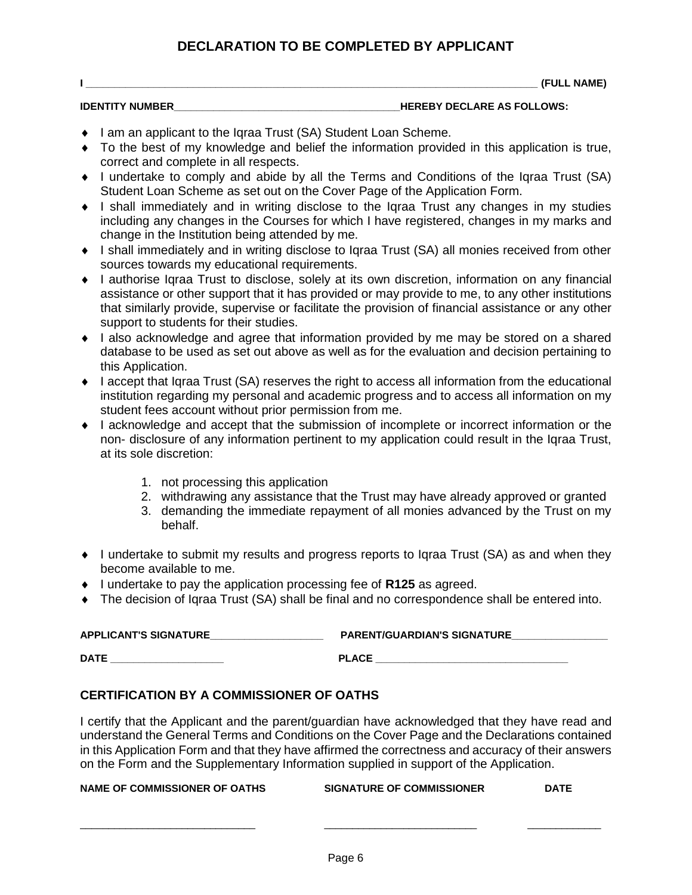## **DECLARATION TO BE COMPLETED BY APPLICANT**

**I \_\_\_\_\_\_\_\_\_\_\_\_\_\_\_\_\_\_\_\_\_\_\_\_\_\_\_\_\_\_\_\_\_\_\_\_\_\_\_\_\_\_\_\_\_\_\_\_\_\_\_\_\_\_\_\_\_\_\_\_\_\_\_\_\_\_\_\_\_\_\_\_\_\_\_\_\_\_\_\_ (FULL NAME)**

- **IDENTITY NUMBER IDENTITY NUMBER IDENTITY NUMBER**
- ◆ I am an applicant to the Igraa Trust (SA) Student Loan Scheme.
- To the best of my knowledge and belief the information provided in this application is true, correct and complete in all respects.
- I undertake to comply and abide by all the Terms and Conditions of the Iqraa Trust (SA) Student Loan Scheme as set out on the Cover Page of the Application Form.
- I shall immediately and in writing disclose to the Iqraa Trust any changes in my studies including any changes in the Courses for which I have registered, changes in my marks and change in the Institution being attended by me.
- I shall immediately and in writing disclose to Iqraa Trust (SA) all monies received from other sources towards my educational requirements.
- I authorise Iqraa Trust to disclose, solely at its own discretion, information on any financial assistance or other support that it has provided or may provide to me, to any other institutions that similarly provide, supervise or facilitate the provision of financial assistance or any other support to students for their studies.
- I also acknowledge and agree that information provided by me may be stored on a shared database to be used as set out above as well as for the evaluation and decision pertaining to this Application.
- $\bullet$  I accept that Igraa Trust (SA) reserves the right to access all information from the educational institution regarding my personal and academic progress and to access all information on my student fees account without prior permission from me.
- I acknowledge and accept that the submission of incomplete or incorrect information or the non- disclosure of any information pertinent to my application could result in the Iqraa Trust, at its sole discretion:
	- 1. not processing this application
	- 2. withdrawing any assistance that the Trust may have already approved or granted
	- 3. demanding the immediate repayment of all monies advanced by the Trust on my behalf.
- I undertake to submit my results and progress reports to Iqraa Trust (SA) as and when they become available to me.
- ◆ I undertake to pay the application processing fee of **R125** as agreed.
- The decision of Iqraa Trust (SA) shall be final and no correspondence shall be entered into.

| <b>APPLICANT'S SIGNATURE</b> | <b>PARENT/GUARDIAN'S SIGNATURE</b> |
|------------------------------|------------------------------------|
|                              |                                    |
| <b>DATE</b>                  | <b>PLACE</b>                       |

## **CERTIFICATION BY A COMMISSIONER OF OATHS**

I certify that the Applicant and the parent/guardian have acknowledged that they have read and understand the General Terms and Conditions on the Cover Page and the Declarations contained in this Application Form and that they have affirmed the correctness and accuracy of their answers on the Form and the Supplementary Information supplied in support of the Application.

|  | NAME OF COMMISSIONER OF OATHS | <b>SIGNATURE OF COMMISSIONER</b> | <b>DATE</b> |
|--|-------------------------------|----------------------------------|-------------|
|--|-------------------------------|----------------------------------|-------------|

\_\_\_\_\_\_\_\_\_\_\_\_\_\_\_\_\_\_\_\_\_\_\_\_\_\_\_\_\_\_\_ \_\_\_\_\_\_\_\_\_\_\_\_\_\_\_\_\_\_\_\_\_\_\_\_\_\_\_ \_\_\_\_\_\_\_\_\_\_\_\_\_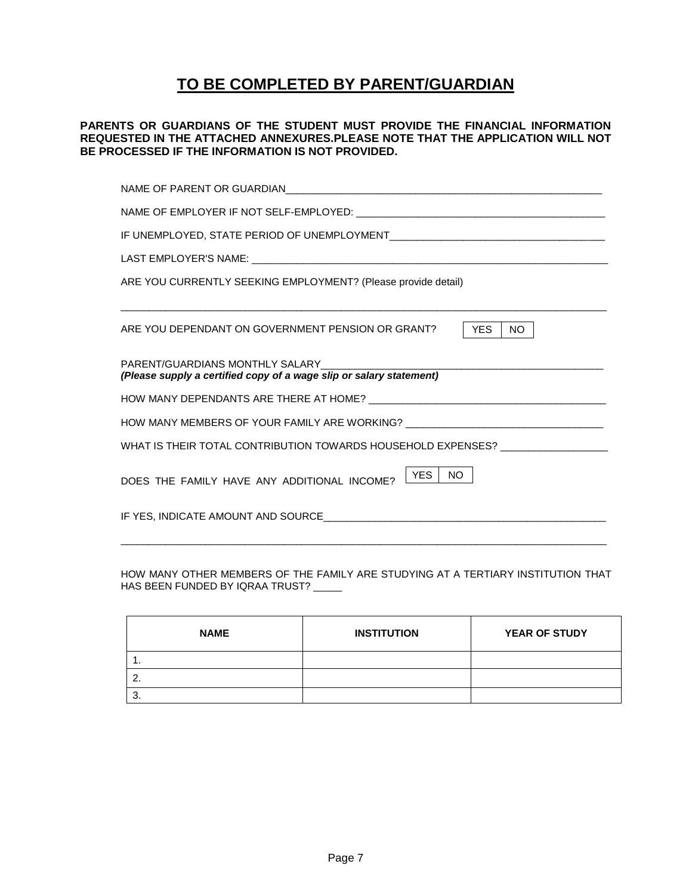# **TO BE COMPLETED BY PARENT/GUARDIAN**

#### **PARENTS OR GUARDIANS OF THE STUDENT MUST PROVIDE THE FINANCIAL INFORMATION REQUESTED IN THE ATTACHED ANNEXURES.PLEASE NOTE THAT THE APPLICATION WILL NOT BE PROCESSED IF THE INFORMATION IS NOT PROVIDED.**

| ARE YOU CURRENTLY SEEKING EMPLOYMENT? (Please provide detail)                    |  |  |
|----------------------------------------------------------------------------------|--|--|
| ARE YOU DEPENDANT ON GOVERNMENT PENSION OR GRANT?<br><b>YES</b><br>NO.           |  |  |
| (Please supply a certified copy of a wage slip or salary statement)              |  |  |
|                                                                                  |  |  |
| HOW MANY MEMBERS OF YOUR FAMILY ARE WORKING? ___________________________________ |  |  |
| WHAT IS THEIR TOTAL CONTRIBUTION TOWARDS HOUSEHOLD EXPENSES? ___________________ |  |  |
| YES<br>NO.<br>DOES THE FAMILY HAVE ANY ADDITIONAL INCOME?                        |  |  |
|                                                                                  |  |  |

HOW MANY OTHER MEMBERS OF THE FAMILY ARE STUDYING AT A TERTIARY INSTITUTION THAT HAS BEEN FUNDED BY IQRAA TRUST? \_\_\_\_\_

| <b>NAME</b> | <b>INSTITUTION</b> | <b>YEAR OF STUDY</b> |
|-------------|--------------------|----------------------|
| . .         |                    |                      |
|             |                    |                      |
| r<br>u.     |                    |                      |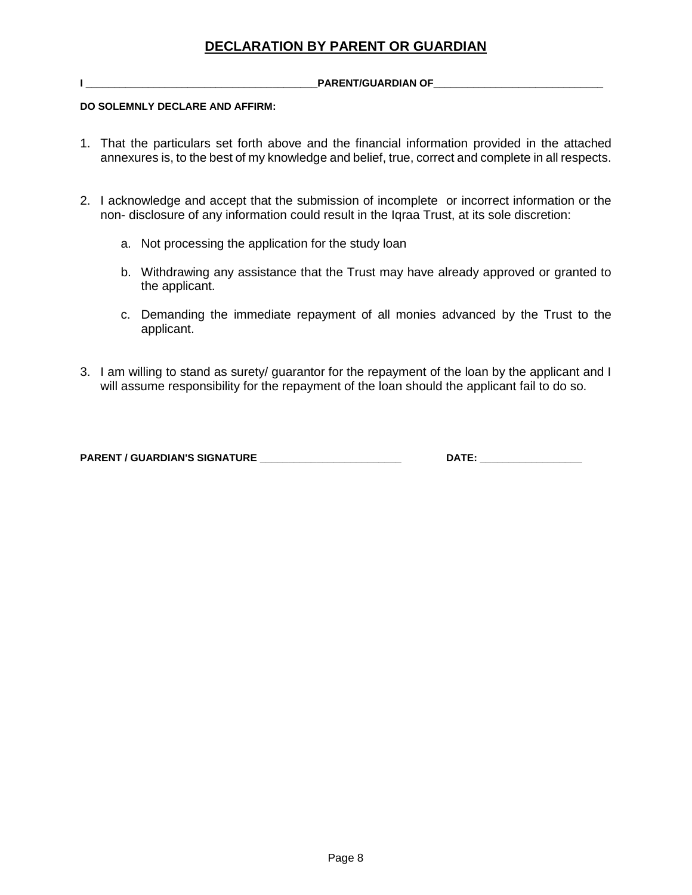**I \_\_\_\_\_\_\_\_\_\_\_\_\_\_\_\_\_\_\_\_\_\_\_\_\_\_\_\_\_\_\_\_\_\_\_\_\_\_\_\_\_PARENT/GUARDIAN OF\_\_\_\_\_\_\_\_\_\_\_\_\_\_\_\_\_\_\_\_\_\_\_\_\_\_\_\_\_\_** 

### **DO SOLEMNLY DECLARE AND AFFIRM:**

- 1. That the particulars set forth above and the financial information provided in the attached annexures is, to the best of my knowledge and belief, true, correct and complete in all respects.
- 2. I acknowledge and accept that the submission of incomplete or incorrect information or the non- disclosure of any information could result in the Iqraa Trust, at its sole discretion:
	- a. Not processing the application for the study loan
	- b. Withdrawing any assistance that the Trust may have already approved or granted to the applicant.
	- c. Demanding the immediate repayment of all monies advanced by the Trust to the applicant.
- 3. I am willing to stand as surety/ guarantor for the repayment of the loan by the applicant and I will assume responsibility for the repayment of the loan should the applicant fail to do so.

**PARENT / GUARDIAN'S SIGNATURE \_\_\_\_\_\_\_\_\_\_\_\_\_\_\_\_\_\_\_\_\_\_\_\_\_ DATE: \_\_\_\_\_\_\_\_\_\_\_\_\_\_\_\_\_\_**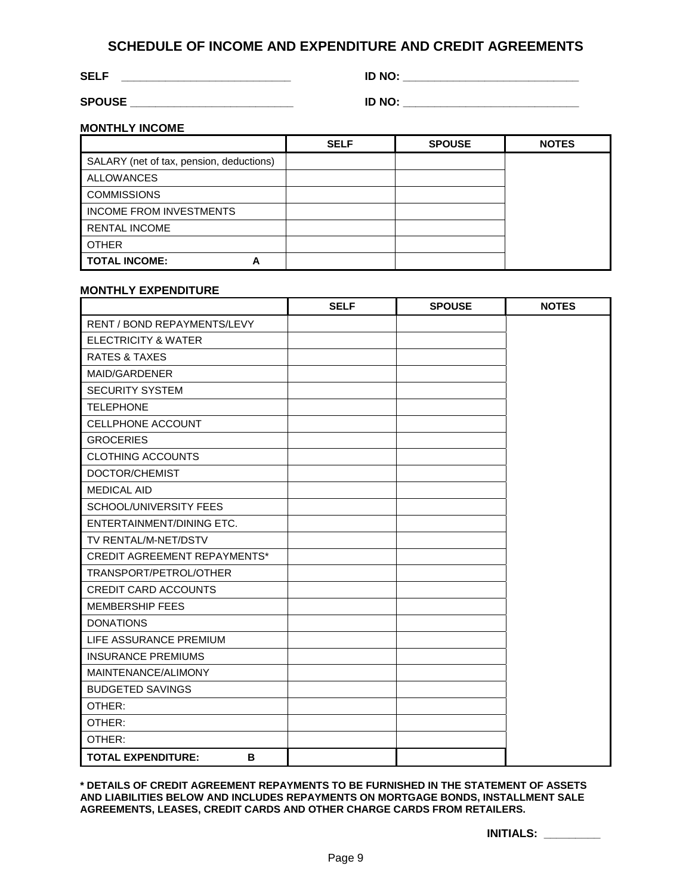## **SCHEDULE OF INCOME AND EXPENDITURE AND CREDIT AGREEMENTS**

**SELF \_\_\_\_\_\_\_\_\_\_\_\_\_\_\_\_\_\_\_\_\_\_\_\_\_\_\_ ID NO: \_\_\_\_\_\_\_\_\_\_\_\_\_\_\_\_\_\_\_\_\_\_\_\_\_\_\_\_**

**SPOUSE \_\_\_\_\_\_\_\_\_\_\_\_\_\_\_\_\_\_\_\_\_\_\_\_\_\_ ID NO: \_\_\_\_\_\_\_\_\_\_\_\_\_\_\_\_\_\_\_\_\_\_\_\_\_\_\_\_**

| NO: |  |
|-----|--|
|     |  |
|     |  |
|     |  |
|     |  |

**MONTHLY INCOME**

|                                          | <b>SELF</b> | <b>SPOUSE</b> | <b>NOTES</b> |
|------------------------------------------|-------------|---------------|--------------|
| SALARY (net of tax, pension, deductions) |             |               |              |
| <b>ALLOWANCES</b>                        |             |               |              |
| <b>COMMISSIONS</b>                       |             |               |              |
| <b>INCOME FROM INVESTMENTS</b>           |             |               |              |
| <b>RENTAL INCOME</b>                     |             |               |              |
| <b>OTHER</b>                             |             |               |              |
| <b>TOTAL INCOME:</b><br>Α                |             |               |              |

#### **MONTHLY EXPENDITURE**

|                                     | <b>SELF</b> | <b>SPOUSE</b> | <b>NOTES</b> |
|-------------------------------------|-------------|---------------|--------------|
| <b>RENT / BOND REPAYMENTS/LEVY</b>  |             |               |              |
| <b>ELECTRICITY &amp; WATER</b>      |             |               |              |
| <b>RATES &amp; TAXES</b>            |             |               |              |
| MAID/GARDENER                       |             |               |              |
| <b>SECURITY SYSTEM</b>              |             |               |              |
| <b>TELEPHONE</b>                    |             |               |              |
| <b>CELLPHONE ACCOUNT</b>            |             |               |              |
| <b>GROCERIES</b>                    |             |               |              |
| <b>CLOTHING ACCOUNTS</b>            |             |               |              |
| DOCTOR/CHEMIST                      |             |               |              |
| <b>MEDICAL AID</b>                  |             |               |              |
| <b>SCHOOL/UNIVERSITY FEES</b>       |             |               |              |
| ENTERTAINMENT/DINING ETC.           |             |               |              |
| TV RENTAL/M-NET/DSTV                |             |               |              |
| <b>CREDIT AGREEMENT REPAYMENTS*</b> |             |               |              |
| TRANSPORT/PETROL/OTHER              |             |               |              |
| <b>CREDIT CARD ACCOUNTS</b>         |             |               |              |
| <b>MEMBERSHIP FEES</b>              |             |               |              |
| <b>DONATIONS</b>                    |             |               |              |
| LIFE ASSURANCE PREMIUM              |             |               |              |
| <b>INSURANCE PREMIUMS</b>           |             |               |              |
| MAINTENANCE/ALIMONY                 |             |               |              |
| <b>BUDGETED SAVINGS</b>             |             |               |              |
| OTHER:                              |             |               |              |
| OTHER:                              |             |               |              |
| OTHER:                              |             |               |              |
| <b>TOTAL EXPENDITURE:</b><br>B      |             |               |              |

**\* DETAILS OF CREDIT AGREEMENT REPAYMENTS TO BE FURNISHED IN THE STATEMENT OF ASSETS AND LIABILITIES BELOW AND INCLUDES REPAYMENTS ON MORTGAGE BONDS, INSTALLMENT SALE AGREEMENTS, LEASES, CREDIT CARDS AND OTHER CHARGE CARDS FROM RETAILERS.**

**INITIALS: \_\_\_\_\_\_\_\_\_**